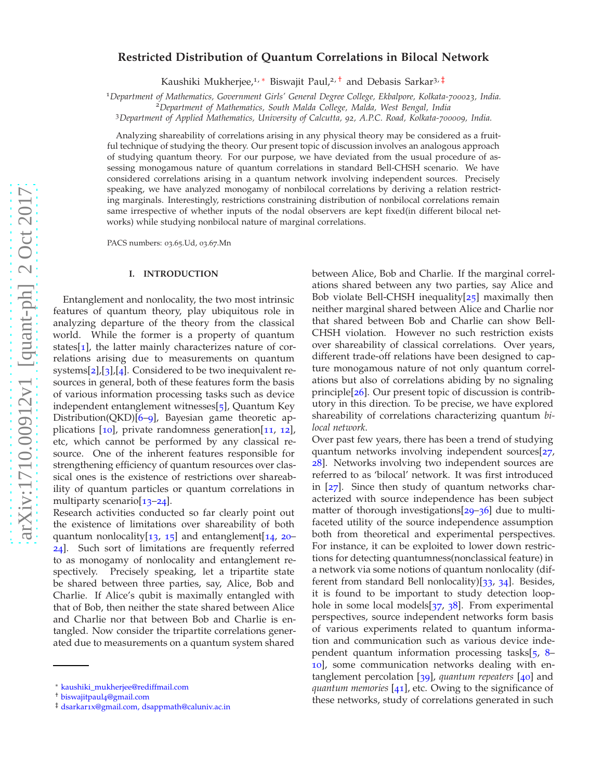# **Restricted Distribution of Quantum Correlations in Bilocal Network**

Kaushiki Mukherjee,<sup>1, \*</sup> Biswajit Paul,<sup>2, [†](#page-0-1)</sup> and Debasis Sarkar<sup>3, [‡](#page-0-2)</sup>

<sup>1</sup>*Department of Mathematics, Government Girls' General Degree College, Ekbalpore, Kolkata-700023, India.*

<sup>3</sup>*Department of Applied Mathematics, University of Calcutta, 92, A.P.C. Road, Kolkata-700009, India.*

Analyzing shareability of correlations arising in any physical theory may be considered as a fruitful technique of studying the theory. Our present topic of discussion involves an analogous approach of studying quantum theory. For our purpose, we have deviated from the usual procedure of assessing monogamous nature of quantum correlations in standard Bell-CHSH scenario. We have considered correlations arising in a quantum network involving independent sources. Precisely speaking, we have analyzed monogamy of nonbilocal correlations by deriving a relation restricting marginals. Interestingly, restrictions constraining distribution of nonbilocal correlations remain same irrespective of whether inputs of the nodal observers are kept fixed(in different bilocal networks) while studying nonbilocal nature of marginal correlations.

PACS numbers: 03.65.Ud, 03.67.Mn

## **I. INTRODUCTION**

Entanglement and nonlocality, the two most intrinsic features of quantum theory, play ubiquitous role in analyzing departure of the theory from the classical world. While the former is a property of quantum states[[1](#page-5-0)], the latter mainly characterizes nature of correlations arising due to measurements on quantum systems[[2](#page-5-1)],[[3](#page-5-2)],[[4](#page-5-3)]. Considered to be two inequivalent resources in general, both of these features form the basis of various information processing tasks such as device independent entanglement witnesses[[5](#page-5-4)], Quantum Key Distribution(QKD)[[6](#page-5-5)–[9](#page-5-6)], Bayesian game theoretic applications [[10](#page-5-7)], private randomness generation[[11](#page-5-8), [12](#page-5-9)], etc, which cannot be performed by any classical resource. One of the inherent features responsible for strengthening efficiency of quantum resources over classical ones is the existence of restrictions over shareability of quantum particles or quantum correlations in multiparty scenario[[13](#page-5-10)–[24](#page-5-11)].

Research activities conducted so far clearly point out the existence of limitations over shareability of both quantum nonlocality[[13](#page-5-10), [15](#page-5-12)] and entanglement[[14](#page-5-13), [20](#page-5-14)– [24](#page-5-11)]. Such sort of limitations are frequently referred to as monogamy of nonlocality and entanglement respectively. Precisely speaking, let a tripartite state be shared between three parties, say, Alice, Bob and Charlie. If Alice's qubit is maximally entangled with that of Bob, then neither the state shared between Alice and Charlie nor that between Bob and Charlie is entangled. Now consider the tripartite correlations generated due to measurements on a quantum system shared between Alice, Bob and Charlie. If the marginal correlations shared between any two parties, say Alice and Bob violate Bell-CHSH inequality[[25](#page-5-15)] maximally then neither marginal shared between Alice and Charlie nor that shared between Bob and Charlie can show Bell-CHSH violation. However no such restriction exists over shareability of classical correlations. Over years, different trade-off relations have been designed to capture monogamous nature of not only quantum correlations but also of correlations abiding by no signaling principle[[26](#page-5-16)]. Our present topic of discussion is contributory in this direction. To be precise, we have explored shareability of correlations characterizing quantum *bilocal network*.

Over past few years, there has been a trend of studying quantum networks involving independent sources[[27](#page-5-17), [28](#page-6-0)]. Networks involving two independent sources are referred to as 'bilocal' network. It was first introduced in [[27](#page-5-17)]. Since then study of quantum networks characterized with source independence has been subject matter of thorough investigations[[29](#page-6-1)–[36](#page-6-2)] due to multifaceted utility of the source independence assumption both from theoretical and experimental perspectives. For instance, it can be exploited to lower down restrictions for detecting quantumness(nonclassical feature) in a network via some notions of quantum nonlocality (different from standard Bell nonlocality)[[33](#page-6-3), [34](#page-6-4)]. Besides, it is found to be important to study detection loophole in some local models $[37, 38]$  $[37, 38]$  $[37, 38]$  $[37, 38]$  $[37, 38]$ . From experimental perspectives, source independent networks form basis of various experiments related to quantum information and communication such as various device independent quantum information processing tasks[[5](#page-5-4), [8](#page-5-18)– [10](#page-5-7)], some communication networks dealing with entanglement percolation [[39](#page-6-7)], *quantum repeaters* [[40](#page-6-8)] and *quantum memories* [[41](#page-6-9)], etc. Owing to the significance of these networks, study of correlations generated in such

<sup>2</sup>*Department of Mathematics, South Malda College, Malda, West Bengal, India*

<span id="page-0-0"></span><sup>∗</sup> [kaushiki\\_mukherjee@rediffmail.com](mailto:kaushiki_mukherjee@rediffmail.com)

<span id="page-0-1"></span><sup>†</sup> [biswajitpaul](mailto:biswajitpaul4@gmail.com)4@gmail.com

<span id="page-0-2"></span><sup>‡</sup> dsarkar1[x@gmail.com, dsappmath@caluniv.ac.in](mailto:dsarkar1x@gmail.com, dsappmath@caluniv.ac.in)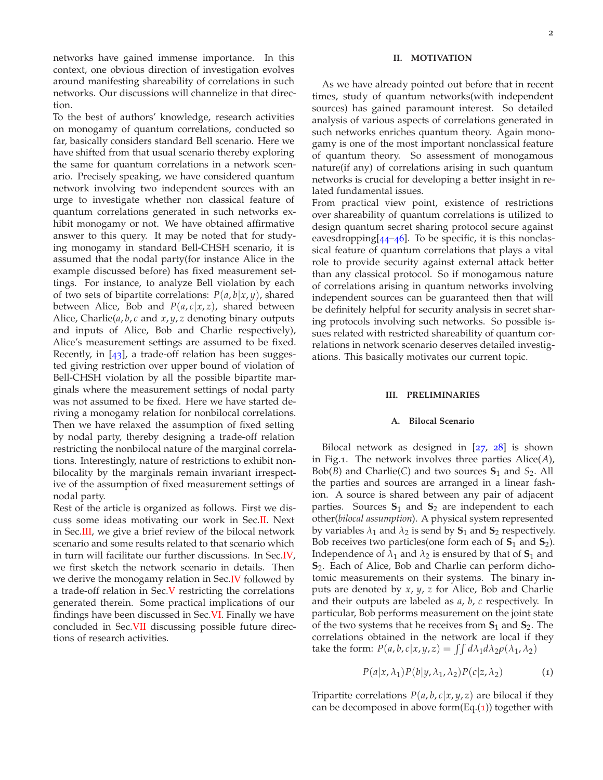networks have gained immense importance. In this context, one obvious direction of investigation evolves around manifesting shareability of correlations in such networks. Our discussions will channelize in that direction.

To the best of authors' knowledge, research activities on monogamy of quantum correlations, conducted so far, basically considers standard Bell scenario. Here we have shifted from that usual scenario thereby exploring the same for quantum correlations in a network scenario. Precisely speaking, we have considered quantum network involving two independent sources with an urge to investigate whether non classical feature of quantum correlations generated in such networks exhibit monogamy or not. We have obtained affirmative answer to this query. It may be noted that for studying monogamy in standard Bell-CHSH scenario, it is assumed that the nodal party(for instance Alice in the example discussed before) has fixed measurement settings. For instance, to analyze Bell violation by each of two sets of bipartite correlations: *P*(*a*, *b*|*x*, *y*), shared between Alice, Bob and  $P(a, c | x, z)$ , shared between Alice, Charlie(*a*, *b*, *c* and *x*, *y*, *z* denoting binary outputs and inputs of Alice, Bob and Charlie respectively), Alice's measurement settings are assumed to be fixed. Recently, in  $[43]$  $[43]$  $[43]$ , a trade-off relation has been suggested giving restriction over upper bound of violation of Bell-CHSH violation by all the possible bipartite marginals where the measurement settings of nodal party was not assumed to be fixed. Here we have started deriving a monogamy relation for nonbilocal correlations. Then we have relaxed the assumption of fixed setting by nodal party, thereby designing a trade-off relation restricting the nonbilocal nature of the marginal correlations. Interestingly, nature of restrictions to exhibit nonbilocality by the marginals remain invariant irrespective of the assumption of fixed measurement settings of nodal party.

Rest of the article is organized as follows. First we discuss some ideas motivating our work in Sec[.II.](#page-1-0) Next in Sec[.III,](#page-1-1) we give a brief review of the bilocal network scenario and some results related to that scenario which in turn will facilitate our further discussions. In Sec[.IV,](#page-2-0) we first sketch the network scenario in details. Then we derive the monogamy relation in Sec.<sup>IV</sup> followed by a trade-off relation in Sec[.V](#page-4-0) restricting the correlations generated therein. Some practical implications of our findings have been discussed in Sec[.VI.](#page-4-1) Finally we have concluded in Sec[.VII](#page-5-19) discussing possible future directions of research activities.

# <span id="page-1-0"></span>**II. MOTIVATION**

As we have already pointed out before that in recent times, study of quantum networks(with independent sources) has gained paramount interest. So detailed analysis of various aspects of correlations generated in such networks enriches quantum theory. Again monogamy is one of the most important nonclassical feature of quantum theory. So assessment of monogamous nature(if any) of correlations arising in such quantum networks is crucial for developing a better insight in related fundamental issues.

From practical view point, existence of restrictions over shareability of quantum correlations is utilized to design quantum secret sharing protocol secure against eavesdropping $[44-46]$  $[44-46]$  $[44-46]$  $[44-46]$  $[44-46]$ . To be specific, it is this nonclassical feature of quantum correlations that plays a vital role to provide security against external attack better than any classical protocol. So if monogamous nature of correlations arising in quantum networks involving independent sources can be guaranteed then that will be definitely helpful for security analysis in secret sharing protocols involving such networks. So possible issues related with restricted shareability of quantum correlations in network scenario deserves detailed investigations. This basically motivates our current topic.

## <span id="page-1-1"></span>**III. PRELIMINARIES**

#### **A. Bilocal Scenario**

Bilocal network as designed in [[27](#page-5-17), [28](#page-6-0)] is shown in Fig.1. The network involves three parties Alice(*A*), Bob(*B*) and Charlie(*C*) and two sources  $S_1$  and  $S_2$ . All the parties and sources are arranged in a linear fashion. A source is shared between any pair of adjacent parties. Sources  $S_1$  and  $S_2$  are independent to each other(*bilocal assumption*). A physical system represented by variables  $\lambda_1$  and  $\lambda_2$  is send by  $S_1$  and  $S_2$  respectively. Bob receives two particles(one form each of  $S_1$  and  $S_2$ ). Independence of  $\lambda_1$  and  $\lambda_2$  is ensured by that of  $S_1$  and **S**<sub>2</sub>. Each of Alice, Bob and Charlie can perform dichotomic measurements on their systems. The binary inputs are denoted by *x*, *y*, *z* for Alice, Bob and Charlie and their outputs are labeled as *a*, *b*, *c* respectively. In particular, Bob performs measurement on the joint state of the two systems that he receives from **S**<sup>1</sup> and **S**2. The correlations obtained in the network are local if they take the form:  $P(a, b, c | x, y, z) = \iint d\lambda_1 d\lambda_2 \rho(\lambda_1, \lambda_2)$ 

<span id="page-1-2"></span>
$$
P(a|x, \lambda_1)P(b|y, \lambda_1, \lambda_2)P(c|z, \lambda_2)
$$
 (1)

Tripartite correlations  $P(a, b, c | x, y, z)$  are bilocal if they can be decomposed in above form $(Eq.(1))$  $(Eq.(1))$  $(Eq.(1))$  together with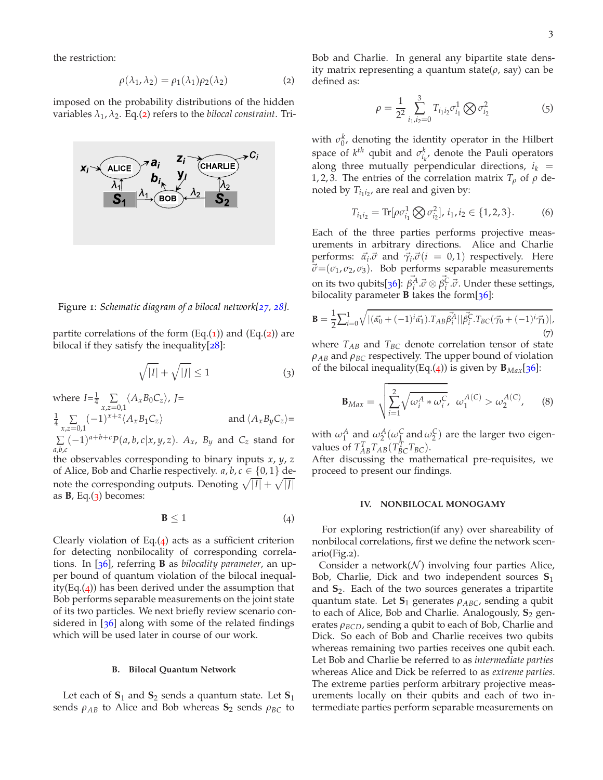the restriction:

<span id="page-2-1"></span>
$$
\rho(\lambda_1, \lambda_2) = \rho_1(\lambda_1)\rho_2(\lambda_2) \tag{2}
$$

imposed on the probability distributions of the hidden  $variables \lambda_1, \lambda_2$  $variables \lambda_1, \lambda_2$ . Eq.(2) refers to the *bilocal constraint*. Tri-



Figure 1: *Schematic diagram of a bilocal network[[27](#page-5-17), [28](#page-6-0)].*

partite correlations of the form  $(Eq.(1))$  $(Eq.(1))$  $(Eq.(1))$  and  $(Eq.(2))$  $(Eq.(2))$  $(Eq.(2))$  are bilocal if they satisfy the inequality $[28]$  $[28]$  $[28]$ :

$$
\sqrt{|I|} + \sqrt{|J|} \le 1\tag{3}
$$

where  $I = \frac{1}{4} \sum_{x,z=0,1} \langle A_x B_0 C_z \rangle$ ,  $J=$  $\frac{1}{4} \sum_{x,z=0,1} (-1)^{x+z} \langle A_x B_1 C_z \rangle$  and  $\langle A_x B_y C_z \rangle =$ ∑  $\sum_{a,b,c} (-1)^{a+b+c} P(a,b,c|x,y,z)$ .  $A_x$ ,  $B_y$  and  $C_z$  stand for the observables corresponding to binary inputs *x*, *y*, *z* of Alice, Bob and Charlie respectively.  $a, b, c \in \{0, 1\}$  denote the corresponding outputs. Denoting  $\sqrt{|I|} + \sqrt{|J|}$ 

as  $B$ , Eq. $(3)$  $(3)$  $(3)$  becomes:

<span id="page-2-3"></span>
$$
\mathbf{B} \le 1 \tag{4}
$$

Clearly violation of Eq. $(4)$  $(4)$  $(4)$  acts as a sufficient criterion for detecting nonbilocality of corresponding correlations. In [[36](#page-6-2)], referring **B** as *bilocality parameter*, an upper bound of quantum violation of the bilocal inequality(Eq. $(4)$  $(4)$  $(4)$ ) has been derived under the assumption that Bob performs separable measurements on the joint state of its two particles. We next briefly review scenario considered in  $[36]$  $[36]$  $[36]$  along with some of the related findings which will be used later in course of our work.

#### **B. Bilocal Quantum Network**

Let each of  $S_1$  and  $S_2$  sends a quantum state. Let  $S_1$ sends  $ρ<sub>AB</sub>$  to Alice and Bob whereas  $S<sub>2</sub>$  sends  $ρ<sub>BC</sub>$  to

Bob and Charlie. In general any bipartite state density matrix representing a quantum state(*ρ*, say) can be defined as:

$$
\rho = \frac{1}{2^2} \sum_{i_1, i_2=0}^3 T_{i_1 i_2} \sigma_{i_1}^1 \bigotimes \sigma_{i_2}^2 \tag{5}
$$

with  $\sigma_0^k$ , denoting the identity operator in the Hilbert space of  $k^{th}$  qubit and  $\sigma_{i_k}^k$ , denote the Pauli operators along three mutually perpendicular directions,  $i_k$  = 1, 2, 3. The entries of the correlation matrix  $T_\rho$  of  $\rho$  denoted by  $T_{i_1 i_2}$ , are real and given by:

<span id="page-2-6"></span><span id="page-2-5"></span>
$$
T_{i_1 i_2} = \text{Tr}[\rho \sigma_{i_1}^1 \bigotimes \sigma_{i_2}^2], i_1, i_2 \in \{1, 2, 3\}.
$$
 (6)

Each of the three parties performs projective measurements in arbitrary directions. Alice and Charlie performs:  $\vec{\alpha}_i \cdot \vec{\sigma}$  and  $\vec{\gamma}_i \cdot \vec{\sigma}$  (*i* = 0, 1) respectively. Here  $\vec{\sigma}$  = ( $\sigma$ <sub>1</sub>,  $\sigma$ <sub>2</sub>,  $\sigma$ <sub>3</sub>). Bob performs separable measurements on its two qubits[[36](#page-6-2)]:  $\vec{\beta}_i^{\vec{A}} \cdot \vec{\sigma} \otimes \vec{\beta}_i^{\vec{C}} \cdot \vec{\sigma}$ . Under these settings, bilocality parameter **B** takes the form[[36](#page-6-2)]:

$$
\mathbf{B} = \frac{1}{2} \sum_{i=0}^{1} \sqrt{|(\vec{\alpha_0} + (-1)^i \vec{\alpha_1}) \cdot T_{AB} \vec{\beta_i}^A| |\vec{\beta_i^C} \cdot T_{BC} (\vec{\gamma_0} + (-1)^i \vec{\gamma_1})|},
$$
\n(7)

<span id="page-2-2"></span>where  $T_{AB}$  and  $T_{BC}$  denote correlation tensor of state  $\rho_{AB}$  and  $\rho_{BC}$  respectively. The upper bound of violation of the bilocal inequality(Eq.([4](#page-2-3))) is given by  $\mathbf{B}_{Max}[36]$  $\mathbf{B}_{Max}[36]$  $\mathbf{B}_{Max}[36]$ :

<span id="page-2-4"></span>
$$
\mathbf{B}_{Max} = \sqrt{\sum_{i=1}^{2} \sqrt{\omega_i^A * \omega_i^C}}, \ \omega_1^{A(C)} > \omega_2^{A(C)}, \qquad (8)
$$

with  $\omega_1^A$  and  $\omega_2^A(\omega_1^C \text{ and } \omega_2^C)$  are the larger two eigenvalues of  $T_{AB}^T T_{AB} (T_{BC}^T T_{BC})$ .

After discussing the mathematical pre-requisites, we proceed to present our findings.

## <span id="page-2-0"></span>**IV. NONBILOCAL MONOGAMY**

For exploring restriction(if any) over shareability of nonbilocal correlations, first we define the network scenario(Fig.2).

Consider a network $(N)$  involving four parties Alice, Bob, Charlie, Dick and two independent sources **S**<sup>1</sup> and **S**2. Each of the two sources generates a tripartite quantum state. Let **S**<sup>1</sup> generates *ρABC*, sending a qubit to each of Alice, Bob and Charlie. Analogously, **S**<sup>2</sup> generates *ρBCD*, sending a qubit to each of Bob, Charlie and Dick. So each of Bob and Charlie receives two qubits whereas remaining two parties receives one qubit each. Let Bob and Charlie be referred to as *intermediate parties* whereas Alice and Dick be referred to as *extreme parties*. The extreme parties perform arbitrary projective measurements locally on their qubits and each of two intermediate parties perform separable measurements on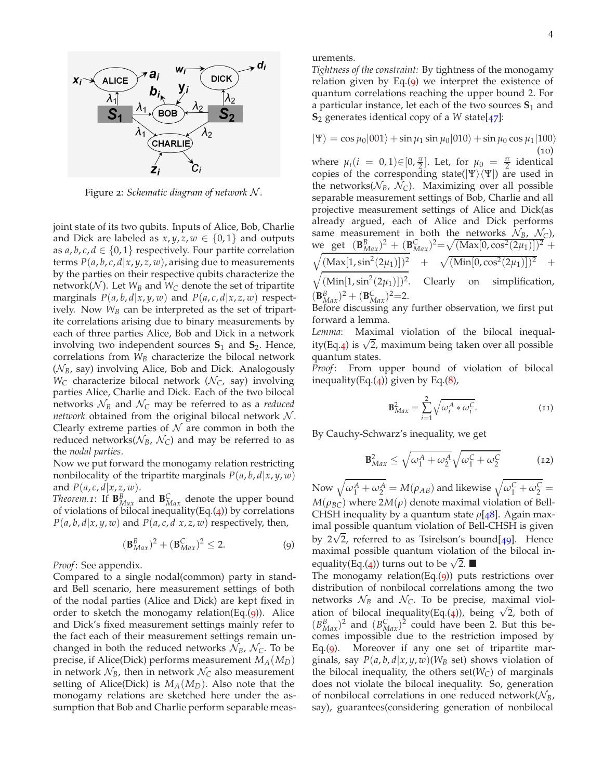

Figure 2: *Schematic diagram of network* N *.*

joint state of its two qubits. Inputs of Alice, Bob, Charlie and Dick are labeled as  $x, y, z, w \in \{0, 1\}$  and outputs as  $a, b, c, d \in \{0, 1\}$  respectively. Four partite correlation terms  $P(a, b, c, d | x, y, z, w)$ , arising due to measurements by the parties on their respective qubits characterize the network( $N$ ). Let  $W_B$  and  $W_C$  denote the set of tripartite marginals  $P(a, b, d | x, y, w)$  and  $P(a, c, d | x, z, w)$  respectively. Now  $W_B$  can be interpreted as the set of tripartite correlations arising due to binary measurements by each of three parties Alice, Bob and Dick in a network involving two independent sources  $S_1$  and  $S_2$ . Hence, correlations from *W<sup>B</sup>* characterize the bilocal network (N*B*, say) involving Alice, Bob and Dick. Analogously  $W_C$  characterize bilocal network ( $\mathcal{N}_C$ , say) involving parties Alice, Charlie and Dick. Each of the two bilocal networks  $\mathcal{N}_B$  and  $\mathcal{N}_C$  may be referred to as a *reduced network* obtained from the original bilocal network  $N$ . Clearly extreme parties of  $N$  are common in both the reduced networks( $N_B$ ,  $N_C$ ) and may be referred to as the *nodal parties*.

Now we put forward the monogamy relation restricting nonbilocality of the tripartite marginals  $P(a, b, d | x, y, w)$ and  $P(a, c, d | x, z, w)$ .

*Theorem.1*: If  $\mathbf{B}_{Max}^B$  and  $\mathbf{B}_{Max}^C$  denote the upper bound of violations of bilocal inequality(Eq. $(4)$  $(4)$  $(4)$ ) by correlations  $P(a, b, d | x, y, w)$  and  $P(a, c, d | x, z, w)$  respectively, then,

$$
(\mathbf{B}_{Max}^B)^2 + (\mathbf{B}_{Max}^C)^2 \le 2. \tag{9}
$$

*Proof*: See appendix.

Compared to a single nodal(common) party in standard Bell scenario, here measurement settings of both of the nodal parties (Alice and Dick) are kept fixed in order to sketch the monogamy relation(Eq. $(q)$ ). Alice and Dick's fixed measurement settings mainly refer to the fact each of their measurement settings remain unchanged in both the reduced networks  $\mathcal{N}_B$ ,  $\mathcal{N}_C$ . To be precise, if Alice(Dick) performs measurement *MA*(*MD*) in network  $\mathcal{N}_B$ , then in network  $\mathcal{N}_C$  also measurement setting of Alice(Dick) is *MA*(*MD*). Also note that the monogamy relations are sketched here under the assumption that Bob and Charlie perform separable measurements.

*Tightness of the constraint:* By tightness of the monogamy relation given by Eq. $(9)$  $(9)$  $(9)$  we interpret the existence of quantum correlations reaching the upper bound 2. For a particular instance, let each of the two sources  $S_1$  and **S**<sup>2</sup> generates identical copy of a *W* state[[47](#page-6-13)]:

$$
|\Psi\rangle = \cos \mu_0 |001\rangle + \sin \mu_1 \sin \mu_0 |010\rangle + \sin \mu_0 \cos \mu_1 |100\rangle
$$
\n(10)

where  $\mu_i(i = 0, 1) \in [0, \frac{\pi}{2}]$ . Let, for  $\mu_0 = \frac{\pi}{2}$  identical copies of the corresponding state( $|\Psi\rangle\langle\Psi|$ ) are used in the networks( $N_B$ ,  $N_C$ ). Maximizing over all possible separable measurement settings of Bob, Charlie and all projective measurement settings of Alice and Dick(as already argued, each of Alice and Dick performs same measurement in both the networks  $\mathcal{N}_B$ ,  $\mathcal{N}_C$ ), we get  $(\mathbf{B}_{Max}^B)^2 + (\mathbf{B}_{Max}^C)^2 = \sqrt{(\text{Max}[0, \text{cos}^2(2\mu_1)])^2} + \cdots$  $\sqrt{\frac{(\text{Max}[1,\sin^2(2\mu_1)])^2}{\text{max}[\cos^2(2\mu_1)]^2}} + \sqrt{\frac{(\text{Min}[0,\cos^2(2\mu_1)])^2}{\text{max}[\cos^2(2\mu_1)]^2}} +$  $\sqrt{\frac{(\text{Min}[1,\text{sin}^2(2\mu_1)])^2}{\text{Clearly}}}$  on simplification,  $({\bf B}_{Max}^B)^2 + ({\bf B}_{Max}^C)^2 = 2.$ 

Before discussing any further observation, we first put forward a lemma.

*Lemma*: Maximal violation of the bilocal inequal-ity(Eq.[4](#page-2-3)) is  $\sqrt{2}$ , maximum being taken over all possible quantum states.

*Proof*: From upper bound of violation of bilocal inequality(Eq. $(4)$  $(4)$  $(4)$ ) given by Eq. $(8)$  $(8)$  $(8)$ ,

<span id="page-3-1"></span>
$$
\mathbf{B}_{Max}^2 = \sum_{i=1}^2 \sqrt{\omega_i^A * \omega_i^C}.
$$
 (11)

By Cauchy-Schwarz's inequality, we get

$$
\mathbf{B}_{Max}^2 \le \sqrt{\omega_1^A + \omega_2^A} \sqrt{\omega_1^C + \omega_2^C}
$$
 (12)

<span id="page-3-0"></span>Now  $\sqrt{\omega_1^A+\omega_2^A}=M(\rho_{AB})$  and likewise  $\sqrt{\omega_1^C+\omega_2^C}=1$  $M(\rho_{BC})$  where  $2M(\rho)$  denote maximal violation of Bell-CHSH inequality by a quantum state *ρ*[[48](#page-6-14)]. Again maximal possible quantum violation of Bell-CHSH is given by  $2\sqrt{2}$ , referred to as Tsirelson's bound[[49](#page-6-15)]. Hence maximal possible quantum violation of the bilocal in-equality(Eq.([4](#page-2-3))) turns out to be  $\sqrt{2}$ .

The monogamy relation(Eq. $(q)$ ) puts restrictions over distribution of nonbilocal correlations among the two networks  $\mathcal{N}_B$  and  $\mathcal{N}_C$ . To be precise, maximal viol-ation of bilocal inequality(Eq.([4](#page-2-3))), being  $\sqrt{2}$ , both of  $(B_{Max}^B)^2$  and  $(B_{Max}^C)^2$  could have been 2. But this becomes impossible due to the restriction imposed by Eq.([9](#page-3-0)). Moreover if any one set of tripartite marginals, say  $P(a, b, d | x, y, w)$ ( $W_B$  set) shows violation of the bilocal inequality, the others  $set(W_C)$  of marginals does not violate the bilocal inequality. So, generation of nonbilocal correlations in one reduced network $(\mathcal{N}_B)$ , say), guarantees(considering generation of nonbilocal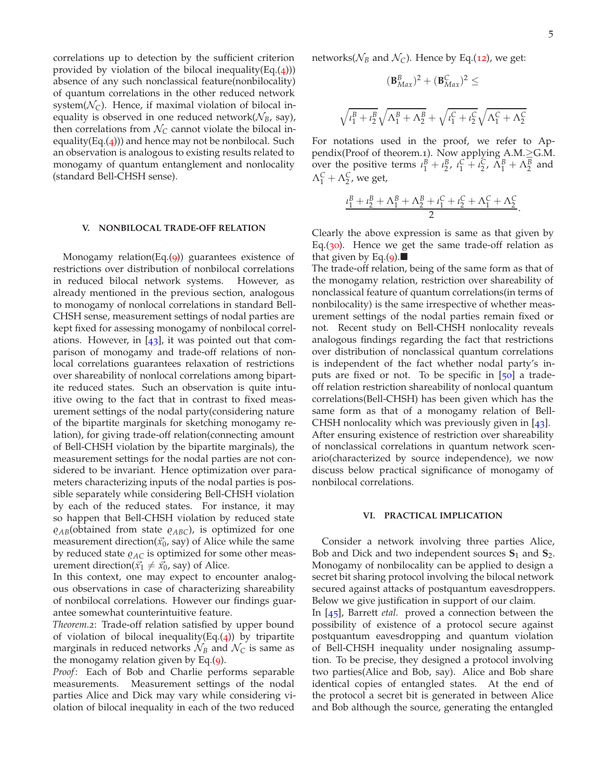.

correlations up to detection by the sufficient criterion provided by violation of the bilocal inequality(Eq. $(4)$  $(4)$  $(4)$ )) absence of any such nonclassical feature(nonbilocality) of quantum correlations in the other reduced network system( $\mathcal{N}_C$ ). Hence, if maximal violation of bilocal inequality is observed in one reduced network( $N_B$ , say), then correlations from  $N_C$  cannot violate the bilocal inequality(Eq. $(4)$  $(4)$  $(4)$ )) and hence may not be nonbilocal. Such an observation is analogous to existing results related to monogamy of quantum entanglement and nonlocality (standard Bell-CHSH sense).

## <span id="page-4-0"></span>**V. NONBILOCAL TRADE-OFF RELATION**

Monogamy relation(Eq.([9](#page-3-0))) guarantees existence of restrictions over distribution of nonbilocal correlations in reduced bilocal network systems. However, as already mentioned in the previous section, analogous to monogamy of nonlocal correlations in standard Bell-CHSH sense, measurement settings of nodal parties are kept fixed for assessing monogamy of nonbilocal correlations. However, in  $[43]$  $[43]$  $[43]$ , it was pointed out that comparison of monogamy and trade-off relations of nonlocal correlations guarantees relaxation of restrictions over shareability of nonlocal correlations among bipartite reduced states. Such an observation is quite intuitive owing to the fact that in contrast to fixed measurement settings of the nodal party(considering nature of the bipartite marginals for sketching monogamy relation), for giving trade-off relation(connecting amount of Bell-CHSH violation by the bipartite marginals), the measurement settings for the nodal parties are not considered to be invariant. Hence optimization over parameters characterizing inputs of the nodal parties is possible separately while considering Bell-CHSH violation by each of the reduced states. For instance, it may so happen that Bell-CHSH violation by reduced state *̺AB*(obtained from state *̺ABC*), is optimized for one measurement direction( $\vec{x_0}$ , say) of Alice while the same by reduced state  $\varrho_{AC}$  is optimized for some other measurement direction( $\vec{x_1} \neq \vec{x_0}$ , say) of Alice.

In this context, one may expect to encounter analogous observations in case of characterizing shareability of nonbilocal correlations. However our findings guarantee somewhat counterintuitive feature.

*Theorem.2*: Trade-off relation satisfied by upper bound of violation of bilocal inequality(Eq. $(4)$  $(4)$  $(4)$ ) by tripartite marginals in reduced networks  $\mathcal{N}_B$  and  $\mathcal{N}_C$  is same as the monogamy relation given by Eq.([9](#page-3-0)).

*Proof*: Each of Bob and Charlie performs separable measurements. Measurement settings of the nodal parties Alice and Dick may vary while considering violation of bilocal inequality in each of the two reduced

networks( $N_B$  and  $N_C$ ). Hence by Eq.([12](#page-3-1)), we get:

$$
(\mathbf{B}_{Max}^B)^2 + (\mathbf{B}_{Max}^C)^2 \le
$$

$$
\sqrt{t_1^B + t_2^B} \sqrt{\Lambda_1^B + \Lambda_2^B} + \sqrt{t_1^C + t_2^C} \sqrt{\Lambda_1^C + \Lambda_2^C}
$$

For notations used in the proof, we refer to Appendix(Proof of theorem.1). Now applying A.M.≥G.M. over the positive terms  $\iota_1^B + \iota_2^B$ ,  $\iota_1^C + \iota_2^C$ ,  $\Lambda_1^B + \Lambda_2^B$  and  $\Lambda_1^C + \Lambda_2^C$ , we get,

$$
\frac{\iota_1^B + \iota_2^B + \Lambda_1^B + \Lambda_2^B + \iota_1^C + \iota_2^C + \Lambda_1^C + \Lambda_2^C}{2}
$$

Clearly the above expression is same as that given by Eq.( $30$ ). Hence we get the same trade-off relation as that given by Eq.(**[9](#page-3-0)**).

The trade-off relation, being of the same form as that of the monogamy relation, restriction over shareability of nonclassical feature of quantum correlations(in terms of nonbilocality) is the same irrespective of whether measurement settings of the nodal parties remain fixed or not. Recent study on Bell-CHSH nonlocality reveals analogous findings regarding the fact that restrictions over distribution of nonclassical quantum correlations is independent of the fact whether nodal party's in-puts are fixed or not. To be specific in [[50](#page-6-16)] a tradeoff relation restriction shareability of nonlocal quantum correlations(Bell-CHSH) has been given which has the same form as that of a monogamy relation of Bell-CHSH nonlocality which was previously given in [[43](#page-6-10)]. After ensuring existence of restriction over shareability of nonclassical correlations in quantum network scenario(characterized by source independence), we now discuss below practical significance of monogamy of nonbilocal correlations.

## <span id="page-4-1"></span>**VI. PRACTICAL IMPLICATION**

Consider a network involving three parties Alice, Bob and Dick and two independent sources **S**<sup>1</sup> and **S**2. Monogamy of nonbilocality can be applied to design a secret bit sharing protocol involving the bilocal network secured against attacks of postquantum eavesdroppers. Below we give justification in support of our claim.

In [[45](#page-6-17)], Barrett *etal.* proved a connection between the possibility of existence of a protocol secure against postquantum eavesdropping and quantum violation of Bell-CHSH inequality under nosignaling assumption. To be precise, they designed a protocol involving two parties(Alice and Bob, say). Alice and Bob share identical copies of entangled states. At the end of the protocol a secret bit is generated in between Alice and Bob although the source, generating the entangled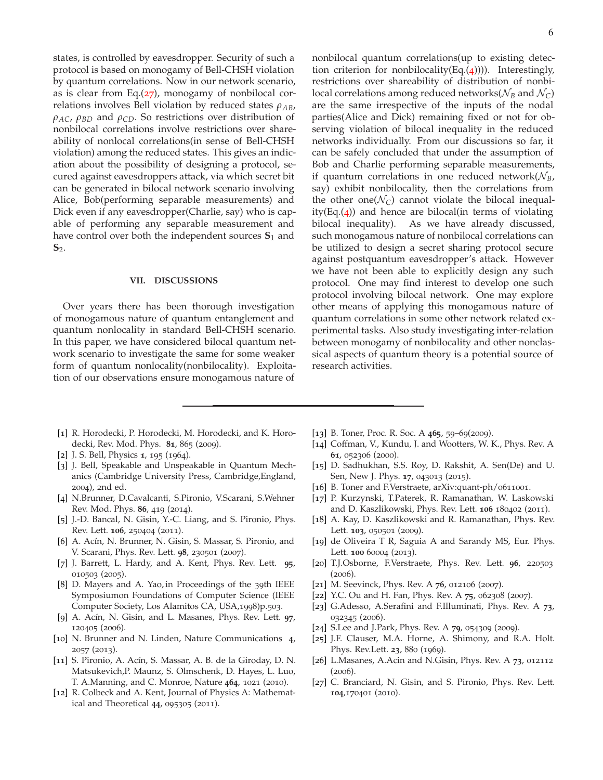states, is controlled by eavesdropper. Security of such a protocol is based on monogamy of Bell-CHSH violation by quantum correlations. Now in our network scenario, as is clear from Eq. $(27)$  $(27)$  $(27)$ , monogamy of nonbilocal correlations involves Bell violation by reduced states *ρAB*, *ρAC*, *ρBD* and *ρCD*. So restrictions over distribution of nonbilocal correlations involve restrictions over shareability of nonlocal correlations(in sense of Bell-CHSH violation) among the reduced states. This gives an indication about the possibility of designing a protocol, secured against eavesdroppers attack, via which secret bit can be generated in bilocal network scenario involving Alice, Bob(performing separable measurements) and Dick even if any eavesdropper(Charlie, say) who is capable of performing any separable measurement and have control over both the independent sources  $S_1$  and **S**2.

#### <span id="page-5-19"></span>**VII. DISCUSSIONS**

Over years there has been thorough investigation of monogamous nature of quantum entanglement and quantum nonlocality in standard Bell-CHSH scenario. In this paper, we have considered bilocal quantum network scenario to investigate the same for some weaker form of quantum nonlocality(nonbilocality). Exploitation of our observations ensure monogamous nature of

nonbilocal quantum correlations(up to existing detection criterion for nonbilocality(Eq. $(4)$  $(4)$  $(4)$ ))). Interestingly, restrictions over shareability of distribution of nonbilocal correlations among reduced networks( $\mathcal{N}_B$  and  $\mathcal{N}_C$ ) are the same irrespective of the inputs of the nodal parties(Alice and Dick) remaining fixed or not for observing violation of bilocal inequality in the reduced networks individually. From our discussions so far, it can be safely concluded that under the assumption of Bob and Charlie performing separable measurements, if quantum correlations in one reduced network $(\mathcal{N}_B)$ , say) exhibit nonbilocality, then the correlations from the other one( $\mathcal{N}_C$ ) cannot violate the bilocal inequality(Eq. $(4)$  $(4)$  $(4)$ ) and hence are bilocal(in terms of violating bilocal inequality). As we have already discussed, such monogamous nature of nonbilocal correlations can be utilized to design a secret sharing protocol secure against postquantum eavesdropper's attack. However we have not been able to explicitly design any such protocol. One may find interest to develop one such protocol involving bilocal network. One may explore other means of applying this monogamous nature of quantum correlations in some other network related experimental tasks. Also study investigating inter-relation between monogamy of nonbilocality and other nonclassical aspects of quantum theory is a potential source of research activities.

- <span id="page-5-0"></span>[1] R. Horodecki, P. Horodecki, M. Horodecki, and K. Horodecki, Rev. Mod. Phys. **81**, 865 (2009).
- <span id="page-5-1"></span>[2] J. S. Bell, Physics **1**, 195 (1964).
- <span id="page-5-2"></span>[3] J. Bell, Speakable and Unspeakable in Quantum Mechanics (Cambridge University Press, Cambridge,England, 2004), 2nd ed.
- <span id="page-5-3"></span>[4] N.Brunner, D.Cavalcanti, S.Pironio, V.Scarani, S.Wehner Rev. Mod. Phys. **86**, 419 (2014).
- <span id="page-5-4"></span>[5] J.-D. Bancal, N. Gisin, Y.-C. Liang, and S. Pironio, Phys. Rev. Lett. **106**, 250404 (2011).
- <span id="page-5-5"></span>[6] A. Acín, N. Brunner, N. Gisin, S. Massar, S. Pironio, and V. Scarani, Phys. Rev. Lett. **98**, 230501 (2007).
- [7] J. Barrett, L. Hardy, and A. Kent, Phys. Rev. Lett. **95**, 010503 (2005).
- <span id="page-5-18"></span>[8] D. Mayers and A. Yao, in Proceedings of the 39th IEEE Symposiumon Foundations of Computer Science (IEEE Computer Society, Los Alamitos CA, USA,1998)p.503.
- <span id="page-5-6"></span>[9] A. Acín, N. Gisin, and L. Masanes, Phys. Rev. Lett. **97**, 120405 (2006).
- <span id="page-5-7"></span>[10] N. Brunner and N. Linden, Nature Communications **4**, 2057 (2013).
- <span id="page-5-8"></span>[11] S. Pironio, A. Acín, S. Massar, A. B. de la Giroday, D. N. Matsukevich,P. Maunz, S. Olmschenk, D. Hayes, L. Luo, T. A.Manning, and C. Monroe, Nature **464**, 1021 (2010).
- <span id="page-5-9"></span>[12] R. Colbeck and A. Kent, Journal of Physics A: Mathematical and Theoretical **44**, 095305 (2011).
- <span id="page-5-10"></span>[13] B. Toner, Proc. R. Soc. A **465**, 59–69(2009).
- <span id="page-5-13"></span>[14] Coffman, V., Kundu, J. and Wootters, W. K., Phys. Rev. A **61**, 052306 (2000).
- <span id="page-5-12"></span>[15] D. Sadhukhan, S.S. Roy, D. Rakshit, A. Sen(De) and U. Sen, New J. Phys. **17**, 043013 (2015).
- [16] B. Toner and F.Verstraete, arXiv:quant-ph/0611001.
- [17] P. Kurzynski, T.Paterek, R. Ramanathan, W. Laskowski and D. Kaszlikowski, Phys. Rev. Lett. **106** 180402 (2011).
- [18] A. Kay, D. Kaszlikowski and R. Ramanathan, Phys. Rev. Lett. **103**, 050501 (2009).
- [19] de Oliveira T R, Saguia A and Sarandy MS, Eur. Phys. Lett. **100** 60004 (2013).
- <span id="page-5-14"></span>[20] T.J.Osborne, F.Verstraete, Phys. Rev. Lett. **96**, 220503 (2006).
- [21] M. Seevinck, Phys. Rev. A **76**, 012106 (2007).
- [22] Y.C. Ou and H. Fan, Phys. Rev. A **75**, 062308 (2007).
- [23] G.Adesso, A.Serafini and F.Illuminati, Phys. Rev. A **73**, 032345 (2006).
- <span id="page-5-11"></span>[24] S.Lee and J.Park, Phys. Rev. A **79**, 054309 (2009).
- <span id="page-5-15"></span>[25] J.F. Clauser, M.A. Horne, A. Shimony, and R.A. Holt. Phys. Rev.Lett. **23**, 880 (1969).
- <span id="page-5-16"></span>[26] L.Masanes, A.Acin and N.Gisin, Phys. Rev. A **73**, 012112 (2006).
- <span id="page-5-17"></span>[27] C. Branciard, N. Gisin, and S. Pironio, Phys. Rev. Lett. **104**,170401 (2010).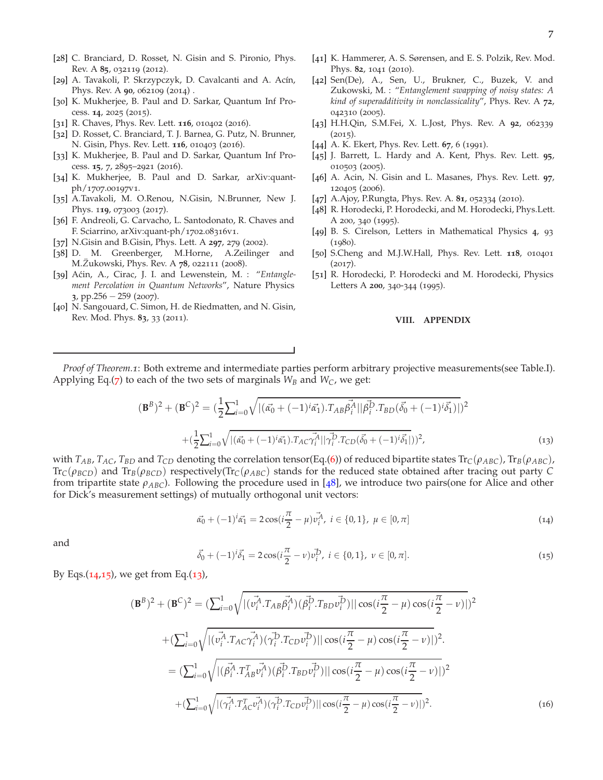- <span id="page-6-0"></span>[28] C. Branciard, D. Rosset, N. Gisin and S. Pironio, Phys. Rev. A **85**, 032119 (2012).
- <span id="page-6-1"></span>[29] A. Tavakoli, P. Skrzypczyk, D. Cavalcanti and A. Acín, Phys. Rev. A **90**, 062109 (2014) .
- [30] K. Mukherjee, B. Paul and D. Sarkar, Quantum Inf Process. **14**, 2025 (2015).
- [31] R. Chaves, Phys. Rev. Lett. **116**, 010402 (2016).
- [32] D. Rosset, C. Branciard, T. J. Barnea, G. Putz, N. Brunner, N. Gisin, Phys. Rev. Lett. **116**, 010403 (2016).
- <span id="page-6-3"></span>[33] K. Mukherjee, B. Paul and D. Sarkar, Quantum Inf Process. **15**, 7, 2895–2921 (2016).
- <span id="page-6-4"></span>[34] K. Mukherjee, B. Paul and D. Sarkar, arXiv:quantph/1707.00197v1.
- [35] A.Tavakoli, M. O.Renou, N.Gisin, N.Brunner, New J. Phys. 1**19**, 073003 (2017).
- <span id="page-6-2"></span>[36] F. Andreoli, G. Carvacho, L. Santodonato, R. Chaves and F. Sciarrino, arXiv:quant-ph/1702.08316v1.
- <span id="page-6-5"></span>[37] N.Gisin and B.Gisin, Phys. Lett. A **297**, 279 (2002).
- <span id="page-6-6"></span>[38] D. M. Greenberger, M.Horne, A.Zeilinger and M.*Z*¨ukowski, Phys. Rev. A **78**, 022111 (2008).
- <span id="page-6-7"></span>[39] Aćin, A., Cirac, J. I. and Lewenstein, M. : "Entangle*ment Percolation in Quantum Networks*", Nature Physics **3**, pp.256 − 259 (2007).
- <span id="page-6-8"></span>[40] N. Sangouard, C. Simon, H. de Riedmatten, and N. Gisin, Rev. Mod. Phys. **83**, 33 (2011).
- <span id="page-6-9"></span>[41] K. Hammerer, A. S. Sørensen, and E. S. Polzik, Rev. Mod. Phys. **82**, 1041 (2010).
- [42] Sen(De), A., Sen, U., Brukner, C., Buzek, V. and Zukowski, M. : "*Entanglement swapping of noisy states: A kind of superadditivity in nonclassicality*", Phys. Rev. A **72**, 042310 (2005).
- <span id="page-6-10"></span>[43] H.H.Qin, S.M.Fei, X. L.Jost, Phys. Rev. A **92**, 062339  $(2015).$
- <span id="page-6-11"></span>[44] A. K. Ekert, Phys. Rev. Lett. **67**, 6 (1991).
- <span id="page-6-17"></span>[45] J. Barrett, L. Hardy and A. Kent, Phys. Rev. Lett. **95**, 010503 (2005).
- <span id="page-6-12"></span>[46] A. Acin, N. Gisin and L. Masanes, Phys. Rev. Lett. **97**, 120405 (2006).
- <span id="page-6-13"></span>[47] A.Ajoy, P.Rungta, Phys. Rev. A. **81**, 052334 (2010).
- <span id="page-6-14"></span>[48] R. Horodecki, P. Horodecki, and M. Horodecki, Phys.Lett. A 200, 340 (1995).
- <span id="page-6-15"></span>[49] B. S. Cirelson, Letters in Mathematical Physics **4**, 93 (1980).
- <span id="page-6-16"></span>[50] S.Cheng and M.J.W.Hall, Phys. Rev. Lett. **118**, 010401 (2017).
- [51] R. Horodecki, P. Horodecki and M. Horodecki, Physics Letters A **200**, 340-344 (1995).

#### **VIII. APPENDIX**

*Proof of Theorem.1*: Both extreme and intermediate parties perform arbitrary projective measurements(see Table.I). Applying Eq.([7](#page-2-5)) to each of the two sets of marginals  $W_B$  and  $W_C$ , we get:

$$
(\mathbf{B}^{B})^{2} + (\mathbf{B}^{C})^{2} = \left(\frac{1}{2} \sum_{i=0}^{1} \sqrt{\left| (\vec{\alpha_{0}} + (-1)^{i} \vec{\alpha_{1}}). T_{AB} \vec{\beta_{i}}^{A} || \vec{\beta_{i}}^{D} . T_{BD} (\vec{\delta_{0}} + (-1)^{i} \vec{\delta_{1}}) \right|} \right)^{2}
$$

$$
+ \left(\frac{1}{2} \sum_{i=0}^{1} \sqrt{\left| (\vec{\alpha_{0}} + (-1)^{i} \vec{\alpha_{1}}). T_{AC} \vec{\gamma_{i}}^{A} || \vec{\gamma_{i}}^{D} . T_{CD} (\vec{\delta_{0}} + (-1)^{i} \vec{\delta_{1}}) \right|} \right)^{2}, \tag{13}
$$

<span id="page-6-20"></span>with  $T_{AB}$ ,  $T_{AC}$ ,  $T_{BD}$  and  $T_{CD}$  denoting the correlation tensor(Eq.([6](#page-2-6))) of reduced bipartite states  $Tr_C(\rho_{ABC})$ ,  $Tr_B(\rho_{ABC})$ ,  $\text{Tr}_C(\rho_{BCD})$  and  $\text{Tr}_B(\rho_{BCD})$  respectively( $\text{Tr}_C(\rho_{ABC})$  stands for the reduced state obtained after tracing out party C from tripartite state *ρABC*). Following the procedure used in [[48](#page-6-14)], we introduce two pairs(one for Alice and other for Dick's measurement settings) of mutually orthogonal unit vectors:

<span id="page-6-18"></span>
$$
\vec{\alpha_0} + (-1)^i \vec{\alpha_1} = 2 \cos(i \frac{\pi}{2} - \mu) \vec{v_i^A}, \ i \in \{0, 1\}, \ \mu \in [0, \pi]
$$
\n(14)

<span id="page-6-19"></span>and

$$
\vec{\delta_0} + (-1)^i \vec{\delta_1} = 2 \cos(i \frac{\pi}{2} - \nu) \vec{\nu_i}, \ i \in \{0, 1\}, \ \nu \in [0, \pi]. \tag{15}
$$

By Eqs. $(14,15)$  $(14,15)$  $(14,15)$  $(14,15)$  $(14,15)$ , we get from Eq. $(13)$  $(13)$  $(13)$ ,

$$
(\mathbf{B}^{B})^{2} + (\mathbf{B}^{C})^{2} = \left(\sum_{i=0}^{1} \sqrt{\left| (\vec{v_{i}}^{A} \cdot T_{AB} \vec{\beta_{i}}^{A}) (\vec{\beta_{i}}^{D} \cdot T_{BD} \vec{v_{i}}^{D}) \right|} \right| \cos(i\frac{\pi}{2} - \mu) \cos(i\frac{\pi}{2} - \nu)\right|^{2}
$$

$$
+ \left(\sum_{i=0}^{1} \sqrt{\left| (\vec{v_{i}}^{A} \cdot T_{AC} \vec{\gamma_{i}}^{A}) (\vec{\gamma_{i}}^{D} \cdot T_{CD} \vec{v_{i}}^{D}) \right|} \right| \cos(i\frac{\pi}{2} - \mu) \cos(i\frac{\pi}{2} - \nu)\right|^{2}
$$

$$
= \left(\sum_{i=0}^{1} \sqrt{\left| (\vec{\beta_{i}}^{A} \cdot T_{AB}^{T} \vec{v_{i}}^{A}) (\vec{\beta_{i}}^{D} \cdot T_{BD} \vec{v_{i}}^{D}) \right|} \right| \cos(i\frac{\pi}{2} - \mu) \cos(i\frac{\pi}{2} - \nu)\right|^{2}
$$

$$
+ \left(\sum_{i=0}^{1} \sqrt{\left| (\vec{\gamma_{i}}^{A} \cdot T_{AC}^{T} \vec{v_{i}}^{A}) (\vec{\gamma_{i}}^{D} \cdot T_{CD} \vec{v_{i}}^{D}) \right|} \right| \cos(i\frac{\pi}{2} - \mu) \cos(i\frac{\pi}{2} - \nu)\right|^{2}.
$$
(16)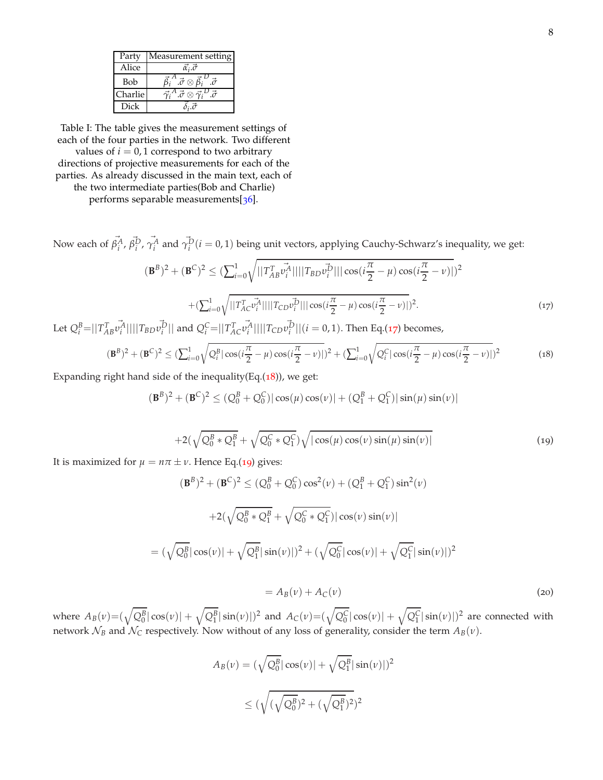| Party   | Measurement setting                                 |
|---------|-----------------------------------------------------|
| Alice   | $\vec{\alpha_i}.\vec{\sigma}$                       |
| Bob     | $\vec{a} \otimes \vec{\beta}_i$                     |
| Charlie | $^{A}. \vec{\sigma} \otimes \vec{\gamma}_{i}{}^{D}$ |
| Dick    |                                                     |

Table I: The table gives the measurement settings of each of the four parties in the network. Two different

values of  $i = 0, 1$  correspond to two arbitrary directions of projective measurements for each of the parties. As already discussed in the main text, each of the two intermediate parties(Bob and Charlie)

performs separable measurements[[36](#page-6-2)].

Now each of  $\vec{\beta}_i^A$ ,  $\vec{\beta}_i^D$ ,  $\vec{\gamma}_i^A$  and  $\vec{\gamma}_i^D(i=0,1)$  being unit vectors, applying Cauchy-Schwarz's inequality, we get:

$$
(\mathbf{B}^{B})^{2} + (\mathbf{B}^{C})^{2} \leq (\sum_{i=0}^{1} \sqrt{||T_{AB}^{T} v_{i}^{\mathcal{A}}||}||T_{BD} v_{i}^{\mathcal{D}}|||\cos(i\frac{\pi}{2} - \mu)\cos(i\frac{\pi}{2} - \nu)|)^{2}
$$

$$
+ (\sum_{i=0}^{1} \sqrt{||T_{AC}^{T} v_{i}^{\mathcal{A}}||}||T_{CD} v_{i}^{\mathcal{D}}|||\cos(i\frac{\pi}{2} - \mu)\cos(i\frac{\pi}{2} - \nu)|)^{2}.
$$
 (17)

<span id="page-7-0"></span>Let  $Q_i^B = ||T_{AB}^T$  $v_i^{\vec{A}}$ |||| $T_{BD}v_i^{\vec{D}}$ || and  $Q_i^C$ =|| $T_{AC}^T$  $\vec{v}_i^{\mathcal{A}}|| ||T_{CD}\vec{v}_i^{\mathcal{D}}||(i=0,1)$ . Then Eq.([17](#page-7-0)) becomes,

$$
(\mathbf{B}^{B})^{2} + (\mathbf{B}^{C})^{2} \leq (\sum_{i=0}^{1} \sqrt{Q_{i}^{B} |\cos(i\frac{\pi}{2} - \mu) \cos(i\frac{\pi}{2} - \nu)|})^{2} + (\sum_{i=0}^{1} \sqrt{Q_{i}^{C} |\cos(i\frac{\pi}{2} - \mu) \cos(i\frac{\pi}{2} - \nu)|})^{2}
$$
(18)

<span id="page-7-2"></span>Expanding right hand side of the inequality(Eq. $(18)$  $(18)$  $(18)$ ), we get:

 $(\mathbf{B}^B)^2 + (\mathbf{B}^C)^2 \leq (Q_0^B + Q_0^C) |\cos(\mu) \cos(\nu)| + (Q_1^B + Q_1^C) |\sin(\mu) \sin(\nu)|$ 

<span id="page-7-1"></span>
$$
+2(\sqrt{Q_0^B * Q_1^B} + \sqrt{Q_0^C * Q_1^C})\sqrt{|\cos(\mu)\cos(\nu)\sin(\mu)\sin(\nu)|}
$$
(19)

It is maximized for  $\mu = n\pi \pm \nu$ . Hence Eq.([19](#page-7-2)) gives:

$$
(\mathbf{B}^{B})^{2} + (\mathbf{B}^{C})^{2} \leq (Q_{0}^{B} + Q_{0}^{C}) \cos^{2}(\nu) + (Q_{1}^{B} + Q_{1}^{C}) \sin^{2}(\nu)
$$

$$
+ 2(\sqrt{Q_{0}^{B} * Q_{1}^{B}} + \sqrt{Q_{0}^{C} * Q_{1}^{C}}) |\cos(\nu) \sin(\nu)|
$$

$$
= (\sqrt{Q_{0}^{B}} |\cos(\nu)| + \sqrt{Q_{1}^{B}} |\sin(\nu)|)^{2} + (\sqrt{Q_{0}^{C}} |\cos(\nu)| + \sqrt{Q_{1}^{C}} |\sin(\nu)|)^{2}
$$

$$
=A_B(v) + A_C(v) \tag{20}
$$

where  $A_B(v)= (\sqrt{Q_0^B}|\cos(v)|+\sqrt{Q_1^B}|\sin(v)|)^2$  and  $A_C(v)= (\sqrt{Q_0^C}|\cos(v)|+\sqrt{Q_1^C}|\sin(v)|)^2$  are connected with network  $\mathcal{N}_B$  and  $\mathcal{N}_C$  respectively. Now without of any loss of generality, consider the term  $A_B(v)$ .

$$
A_B(\nu) = (\sqrt{Q_0^B} |\cos(\nu)| + \sqrt{Q_1^B} |\sin(\nu)|)^2
$$
  
 
$$
\leq (\sqrt{(\sqrt{Q_0^B})^2 + (\sqrt{Q_1^B})^2})^2
$$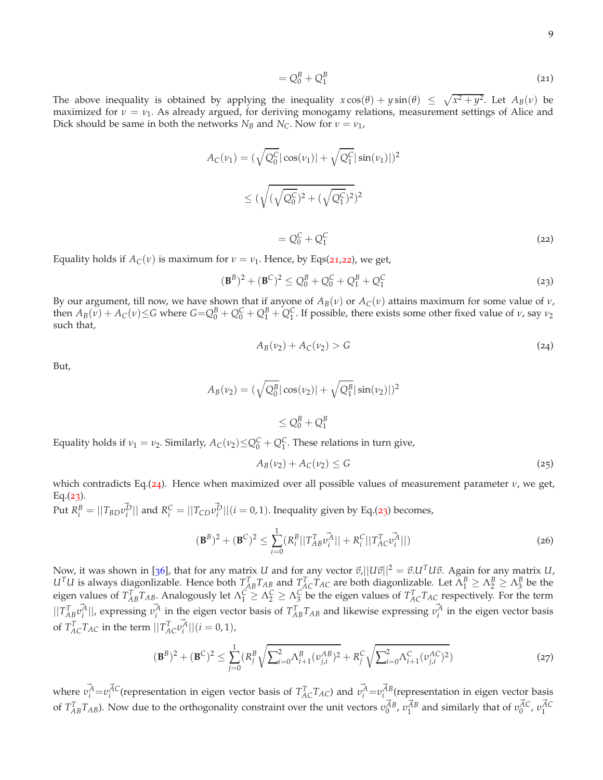$$
=Q_0^B+Q_1^B \tag{21}
$$

<span id="page-8-1"></span>The above inequality is obtained by applying the inequality  $x \cos(\theta) + y \sin(\theta) \leq \sqrt{x^2 + y^2}$ . Let  $A_B(v)$  be maximized for *ν* = *ν*<sub>1</sub>. As already argued, for deriving monogamy relations, measurement settings of Alice and Dick should be same in both the networks  $N_B$  and  $N_C$ . Now for  $\nu = \nu_1$ ,

$$
A_C(\nu_1) = (\sqrt{Q_0^C} |\cos(\nu_1)| + \sqrt{Q_1^C} |\sin(\nu_1)|)^2
$$
  
 
$$
\leq (\sqrt{(\sqrt{Q_0^C})^2 + (\sqrt{Q_1^C})^2})^2
$$
  
 
$$
= Q_0^C + Q_1^C
$$
 (22)

<span id="page-8-2"></span>Equality holds if  $A_C(v)$  is maximum for  $v = v_1$ . Hence, by Eqs([21](#page-8-1),[22](#page-8-2)), we get,

$$
(\mathbf{B}^{B})^{2} + (\mathbf{B}^{C})^{2} \leq Q_{0}^{B} + Q_{0}^{C} + Q_{1}^{B} + Q_{1}^{C}
$$
\n(23)

<span id="page-8-3"></span>By our argument, till now, we have shown that if anyone of *AB*(*ν*) or *AC*(*ν*) attains maximum for some value of *ν*, then  $A_B(v) + A_C(v) \le G$  where  $G = Q_0^B + Q_0^C + Q_1^B + Q_1^C$ . If possible, there exists some other fixed value of  $v$ , say  $v_2$ such that,

<span id="page-8-4"></span>
$$
A_B(\nu_2) + A_C(\nu_2) > G \tag{24}
$$

But,

$$
A_B(\nu_2) = (\sqrt{Q_0^B} |\cos(\nu_2)| + \sqrt{Q_1^B} |\sin(\nu_2)|)^2
$$

$$
\leq Q_0^B + Q_1^B
$$

Equality holds if  $v_1 = v_2$ . Similarly,  $A_C(v_2) \leq Q_0^C + Q_1^C$ . These relations in turn give,

$$
A_B(\nu_2) + A_C(\nu_2) \le G \tag{25}
$$

which contradicts Eq.([24](#page-8-3)). Hence when maximized over all possible values of measurement parameter *ν*, we get,  $Eq. (23).$  $Eq. (23).$  $Eq. (23).$ 

 $\Pr{\mathbf{R}_i^B = ||T_{BD}v_i^{\vec{D}}||}$  and  $R_i^C = ||T_{CD}v_i^{\vec{D}}||$  (*i* = 0, 1). Inequality given by Eq.([23](#page-8-4)) becomes,

$$
(\mathbf{B}^{B})^{2} + (\mathbf{B}^{C})^{2} \le \sum_{i=0}^{1} (R_{i}^{B}||T_{AB}^{T}v_{i}^{A}|| + R_{i}^{C}||T_{AC}^{T}v_{i}^{A}||)
$$
\n(26)

Now, it was shown in [[36](#page-6-2)], that for any matrix *U* and for any vector  $\vec{v}$ , $||U\vec{v}||^2 = \vec{v}U^T U \vec{v}$ . Again for any matrix *U*,  $U^TU$  is always diagonlizable. Hence both  $T_{AB}^TT_{AB}$  and  $T_{AC}^TT_{AC}$  are both diagonlizable. Let  $\Lambda_1^B \geq \Lambda_2^B \geq \Lambda_3^B$  be the eigen values of  $T_{AB}^T T_{AB}$ . Analogously let  $\Lambda_1^C \geq \Lambda_2^C \geq \Lambda_3^C$  be the eigen values of  $T_{AC}^T T_{AC}$  respectively. For the term  $||T_{AB}^T$  $\vec{v_i^A}$ ||, expressing  $\vec{v_i^A}$  in the eigen vector basis of  $T_{AB}^T T_{AB}$  and likewise expressing  $\vec{v_i^A}$  in the eigen vector basis of  $T_{AC}^{T}T_{AC}$  in the term  $||T_{AC}^{T}$  $\vec{v}_i^{\mathcal{A}}|| (i = 0, 1),$ 

<span id="page-8-0"></span>
$$
(\mathbf{B}^{B})^{2} + (\mathbf{B}^{C})^{2} \leq \sum_{j=0}^{1} (R_{j}^{B} \sqrt{\sum_{i=0}^{2} \Lambda_{i+1}^{B} (\nu_{j,i}^{AB})^{2}} + R_{j}^{C} \sqrt{\sum_{i=0}^{2} \Lambda_{i+1}^{C} (\nu_{j,i}^{AC})^{2}})
$$
(27)

where  $\vec{v_i^A} = v_i^{\vec{A}C}$  (representation in eigen vector basis of  $T_{AC}^T T_{AC}$ ) and  $\vec{v_i^A} = v_i^{\vec{A}B}$  (representation in eigen vector basis of  $T_{AB}^T T_{AB}$ ). Now due to the orthogonality constraint over the unit vectors  $v_0^{\vec{A}B}$ ,  $v_1^{\vec{A}B}$  and similarly that of  $v_0^{\vec{A}C}$ ,  $v_1^{\vec{A}C}$